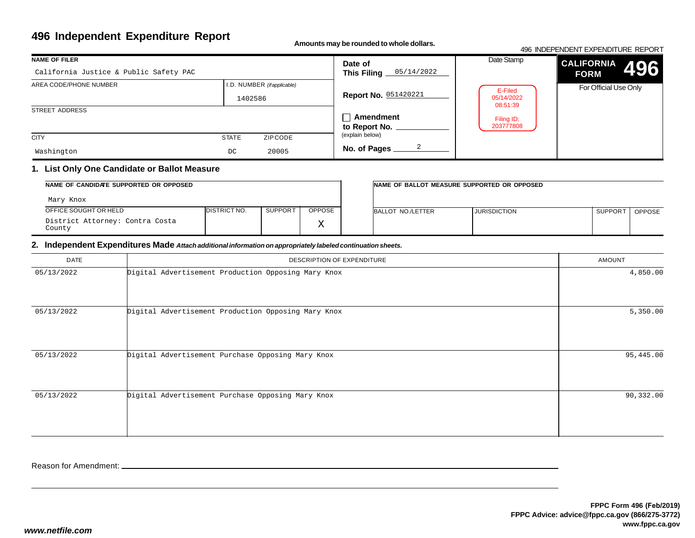# **496 Independent Expenditure Report**

**Amounts may be rounded to whole dollars.**

#### 496 INDEPENDENT EXPENDITURE REPORT**CALIFORNIAFORM** For Official Use OnlyDate Stamp**496NAME OF FILER**STREET ADDRESS**CITY STATE** ZIP CODE I.D. NUMBER *(if applicable)***Date of This Filing Report No.** 051420221**Amendmentto Report No. No. of Pages** AREA CODE/PHONE NUMBER(explain below)California Justice & Public Safety PAC1402586Washingtonn DC 20005 05/14/20222E-Filed 05/14/2022 08:51:39Filing ID:203777808

## **1. List Only One Candidate or Ballot Measure**

| NAME OF CANDIDATE SUPPORTED OR OPPOSED    |                      |                |              | INAME OF BALLOT MEASURE SUPPORTED OR OPPOSED |                     |                     |               |
|-------------------------------------------|----------------------|----------------|--------------|----------------------------------------------|---------------------|---------------------|---------------|
| Mary Knox                                 |                      |                |              |                                              |                     |                     |               |
| OFFICE SOUGHT OR HELD                     | <b>IDISTRICT NO.</b> | <b>SUPPORT</b> | OPPOSE       | BALLOT NO./LETTER                            | <b>JURISDICTION</b> | SUPPOR <sup>-</sup> | <b>OPPOSE</b> |
| District Attorney: Contra Costa<br>County |                      |                | $\tau$<br>∡⊾ |                                              |                     |                     |               |

## **2. Independent Expenditures Made** *Attach additional information on appropriately labeled continuation sheets.*

| DATE       | DESCRIPTION OF EXPENDITURE                          | <b>AMOUNT</b> |
|------------|-----------------------------------------------------|---------------|
| 05/13/2022 | Digital Advertisement Production Opposing Mary Knox | 4,850.00      |
| 05/13/2022 | Digital Advertisement Production Opposing Mary Knox | 5,350.00      |
| 05/13/2022 | Digital Advertisement Purchase Opposing Mary Knox   | 95,445.00     |
| 05/13/2022 | Digital Advertisement Purchase Opposing Mary Knox   | 90,332.00     |

Reason for Amendment: